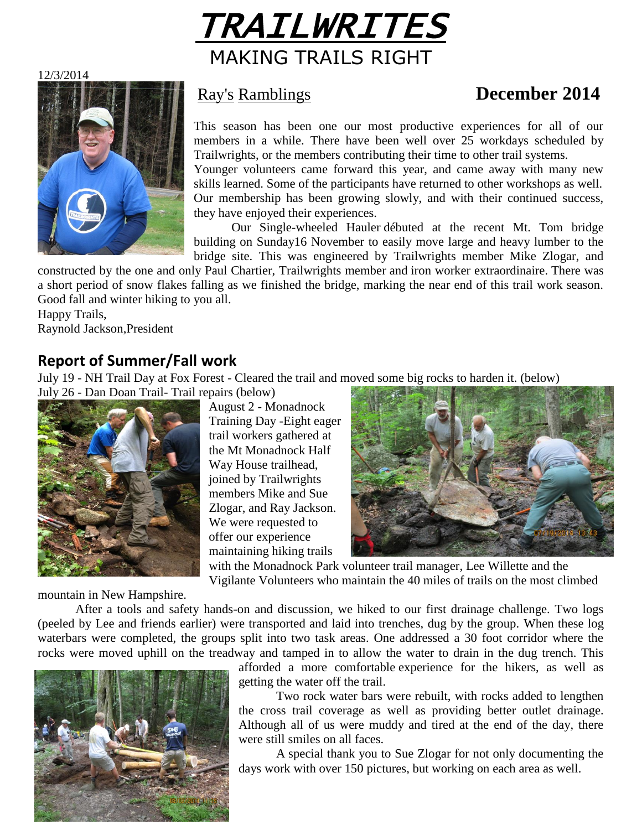

12/3/2014



## Ray's Ramblings **December 2014**

This season has been one our most productive experiences for all of our members in a while. There have been well over 25 workdays scheduled by Trailwrights, or the members contributing their time to other trail systems.

Younger volunteers came forward this year, and came away with many new skills learned. Some of the participants have returned to other workshops as well. Our membership has been growing slowly, and with their continued success, they have enjoyed their experiences.

Our Single-wheeled Hauler débuted at the recent Mt. Tom bridge building on Sunday16 November to easily move large and heavy lumber to the bridge site. This was engineered by Trailwrights member Mike Zlogar, and

constructed by the one and only Paul Chartier, Trailwrights member and iron worker extraordinaire. There was a short period of snow flakes falling as we finished the bridge, marking the near end of this trail work season. Good fall and winter hiking to you all.

Happy Trails, Raynold Jackson,President

#### **Report of Summer/Fall work**

July 19 - NH Trail Day at Fox Forest - Cleared the trail and moved some big rocks to harden it. (below)

July 26 - Dan Doan Trail- Trail repairs (below)



August 2 - Monadnock Training Day -Eight eager trail workers gathered at the Mt Monadnock Half Way House trailhead, joined by Trailwrights members Mike and Sue Zlogar, and Ray Jackson. We were requested to offer our experience maintaining hiking trails



with the Monadnock Park volunteer trail manager, Lee Willette and the Vigilante Volunteers who maintain the 40 miles of trails on the most climbed

mountain in New Hampshire.

After a tools and safety hands-on and discussion, we hiked to our first drainage challenge. Two logs (peeled by Lee and friends earlier) were transported and laid into trenches, dug by the group. When these log waterbars were completed, the groups split into two task areas. One addressed a 30 foot corridor where the rocks were moved uphill on the treadway and tamped in to allow the water to drain in the dug trench. This



afforded a more comfortable experience for the hikers, as well as getting the water off the trail.

Two rock water bars were rebuilt, with rocks added to lengthen the cross trail coverage as well as providing better outlet drainage. Although all of us were muddy and tired at the end of the day, there were still smiles on all faces.

A special thank you to Sue Zlogar for not only documenting the days work with over 150 pictures, but working on each area as well.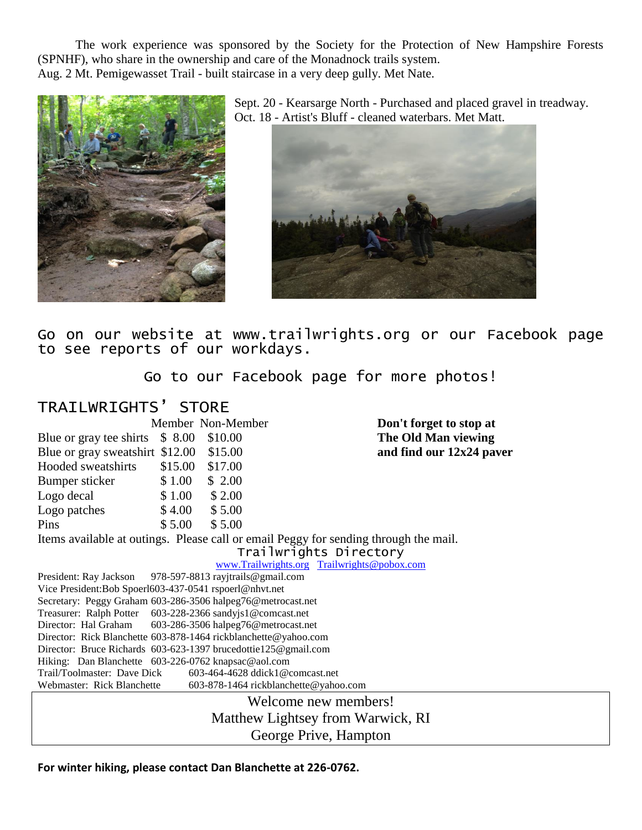The work experience was sponsored by the Society for the Protection of New Hampshire Forests (SPNHF), who share in the ownership and care of the Monadnock trails system. Aug. 2 Mt. Pemigewasset Trail - built staircase in a very deep gully. Met Nate.



Sept. 20 - Kearsarge North - Purchased and placed gravel in treadway. Oct. 18 - Artist's Bluff - cleaned waterbars. Met Matt.



Go on our website at www.trailwrights.org or our Facebook page to see reports of our workdays.

Go to our Facebook page for more photos!

| TRAILWRIGHTS' STORE                                                                  |         |                                     |                                             |
|--------------------------------------------------------------------------------------|---------|-------------------------------------|---------------------------------------------|
|                                                                                      |         | Member Non-Member                   | Don't forget to stop at                     |
| Blue or gray tee shirts $$8.00$                                                      |         | \$10.00                             | The Old Man viewing                         |
| Blue or gray sweatshirt \$12.00                                                      |         | \$15.00                             | and find our 12x24 paver                    |
| Hooded sweatshirts                                                                   | \$15.00 | \$17.00                             |                                             |
| Bumper sticker                                                                       | \$1.00  | \$2.00                              |                                             |
| Logo decal                                                                           | \$1.00  | \$2.00                              |                                             |
| Logo patches                                                                         | \$4.00  | \$5.00                              |                                             |
| Pins                                                                                 | \$5.00  | \$5.00                              |                                             |
| Items available at outings. Please call or email Peggy for sending through the mail. |         |                                     |                                             |
| Trailwrights Directory                                                               |         |                                     |                                             |
|                                                                                      |         |                                     | www.Trailwrights.org Trailwrights@pobox.com |
| President: Ray Jackson                                                               |         | 978-597-8813 rayjtrails@gmail.com   |                                             |
| Vice President:Bob Spoerl603-437-0541 rspoerl@nhvt.net                               |         |                                     |                                             |
| Secretary: Peggy Graham 603-286-3506 halpeg76@metrocast.net                          |         |                                     |                                             |
| Treasurer: Ralph Potter 603-228-2366 sandyjs1@comcast.net                            |         |                                     |                                             |
| Director: Hal Graham                                                                 |         | 603-286-3506 halpeg76@metrocast.net |                                             |
| Director: Rick Blanchette 603-878-1464 rickblanchette@yahoo.com                      |         |                                     |                                             |
| Director: Bruce Richards 603-623-1397 brucedottie125@gmail.com                       |         |                                     |                                             |
| Hiking: Dan Blanchette 603-226-0762 knapsac@aol.com                                  |         |                                     |                                             |
| Trail/Toolmaster: Dave Dick                                                          |         | 603-464-4628 ddick1@comcast.net     |                                             |
| Webmaster: Rick Blanchette                                                           |         |                                     | 603-878-1464 rickblanchette@yahoo.com       |
| Welcome new members!                                                                 |         |                                     |                                             |
| Matthew Lightsey from Warwick, RI                                                    |         |                                     |                                             |
| George Prive, Hampton                                                                |         |                                     |                                             |
|                                                                                      |         |                                     |                                             |

**For winter hiking, please contact Dan Blanchette at 226-0762.**